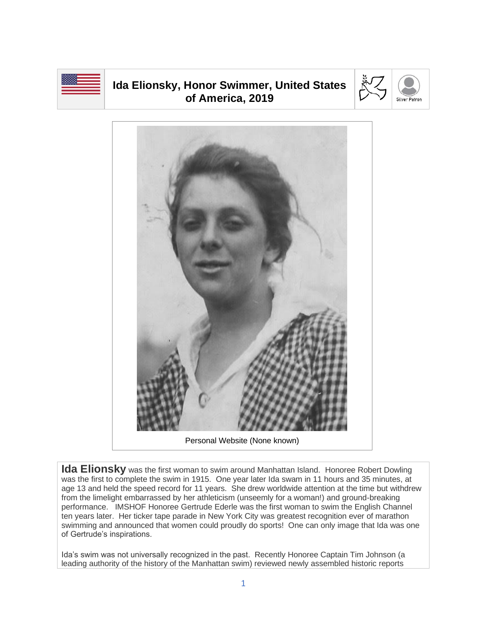

## **Ida Elionsky, Honor Swimmer, United States of America, 2019**





Personal Website (None known)

**Ida Elionsky** was the first woman to swim around Manhattan Island. Honoree Robert Dowling was the first to complete the swim in 1915. One year later Ida swam in 11 hours and 35 minutes, at age 13 and held the speed record for 11 years. She drew worldwide attention at the time but withdrew from the limelight embarrassed by her athleticism (unseemly for a woman!) and ground-breaking performance. IMSHOF Honoree Gertrude Ederle was the first woman to swim the English Channel ten years later. Her ticker tape parade in New York City was greatest recognition ever of marathon swimming and announced that women could proudly do sports! One can only image that Ida was one of Gertrude's inspirations.

Ida's swim was not universally recognized in the past. Recently Honoree Captain Tim Johnson (a leading authority of the history of the Manhattan swim) reviewed newly assembled historic reports